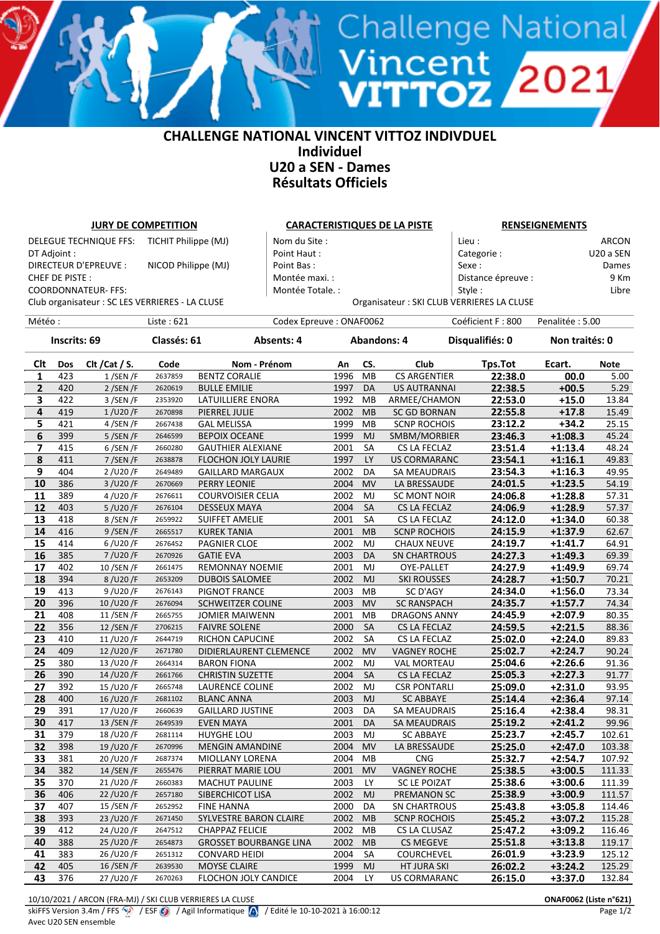## **CHALLENGE NATIONAL VINCENT VITTOZ INDIVDUEL Individuel U20 a SEN - Dames Résultats Officiels**

<sup>Vincent</sup> 2021<br>VITTOZ 2021

| <b>JURY DE COMPETITION</b>                            |            |                                                 |                    |                                    | <b>CARACTERISTIQUES DE LA PISTE</b> |              |           |                                     | <b>RENSEIGNEMENTS</b>                      |                    |               |  |
|-------------------------------------------------------|------------|-------------------------------------------------|--------------------|------------------------------------|-------------------------------------|--------------|-----------|-------------------------------------|--------------------------------------------|--------------------|---------------|--|
| <b>DELEGUE TECHNIQUE FFS:</b><br>TICHIT Philippe (MJ) |            |                                                 |                    | Nom du Site :                      |                                     |              |           | Lieu :                              |                                            | ARCON              |               |  |
| DT Adjoint :                                          |            |                                                 |                    | Point Haut:                        |                                     |              |           | Categorie:                          |                                            | U20 a SEN          |               |  |
| DIRECTEUR D'EPREUVE :<br>NICOD Philippe (MJ)          |            |                                                 |                    | Point Bas:                         |                                     |              |           | Sexe:                               |                                            | Dames              |               |  |
| CHEF DE PISTE:                                        |            |                                                 |                    | Montée maxi.:                      |                                     |              |           | Distance épreuve :                  |                                            | 9 Km               |               |  |
| <b>COORDONNATEUR- FFS:</b>                            |            |                                                 |                    |                                    | Montée Totale. :                    |              |           |                                     | Style:                                     |                    | Libre         |  |
|                                                       |            |                                                 |                    |                                    |                                     |              |           |                                     | Organisateur : SKI CLUB VERRIERES LA CLUSE |                    |               |  |
|                                                       |            | Club organisateur : SC LES VERRIERES - LA CLUSE |                    |                                    |                                     |              |           |                                     |                                            |                    |               |  |
| Météo :                                               |            |                                                 | Liste: 621         |                                    | Codex Epreuve: ONAF0062             |              |           |                                     | Coéficient F: 800                          | Penalitée: 5.00    |               |  |
| Inscrits: 69                                          |            |                                                 | Classés: 61        |                                    | Absents: 4                          |              |           | <b>Abandons: 4</b>                  | Disqualifiés: 0<br>Non traités: 0          |                    |               |  |
|                                                       |            |                                                 |                    |                                    |                                     |              |           |                                     |                                            |                    |               |  |
| Clt                                                   | Dos        | Clt / Cat / S.                                  | Code               | Nom - Prénom                       |                                     | An<br>1996   | CS.       | Club                                | Tps.Tot                                    | Ecart.             | <b>Note</b>   |  |
| 1                                                     | 423        | $1/$ SEN /F                                     | 2637859            | <b>BENTZ CORALIE</b>               |                                     |              | MВ        | <b>CS ARGENTIER</b>                 | 22:38.0                                    | 00.0               | 5.00          |  |
| $\mathbf{2}$                                          | 420<br>422 | $2/$ SEN/F                                      | 2620619<br>2353920 | <b>BULLE EMILIE</b>                |                                     | 1997<br>1992 | DA<br>MB  | <b>US AUTRANNAI</b>                 | 22:38.5<br>22:53.0                         | $+00.5$<br>$+15.0$ | 5.29<br>13.84 |  |
| 3<br>4                                                | 419        | 3/SEN/F<br>$1$ /U20/F                           | 2670898            | LATUILLIERE ENORA<br>PIERREL JULIE |                                     | 2002         | <b>MB</b> | ARMEE/CHAMON<br><b>SC GD BORNAN</b> | 22:55.8                                    | $+17.8$            | 15.49         |  |
| 5                                                     | 421        | 4/SEN/F                                         | 2667438            | <b>GAL MELISSA</b>                 |                                     | 1999         | MB        | <b>SCNP ROCHOIS</b>                 | 23:12.2                                    | $+34.2$            | 25.15         |  |
| 6                                                     | 399        | $5/$ SEN /F                                     | 2646599            | <b>BEPOIX OCEANE</b>               |                                     | 1999         | <b>MJ</b> | SMBM/MORBIER                        | 23:46.3                                    | $+1:08.3$          | 45.24         |  |
| $\overline{\mathbf{z}}$                               | 415        | $6$ /SEN /F                                     | 2660280            | GAUTHIER ALEXIANE                  |                                     | 2001         | SA        | CS LA FECLAZ                        | 23:51.4                                    | $+1:13.4$          | 48.24         |  |
| 8                                                     | 411        | 7/SEN/F                                         | 2638878            | <b>FLOCHON JOLY LAURIE</b>         |                                     | 1997         | LY        | <b>US CORMARANC</b>                 | 23:54.1                                    | $+1:16.1$          | 49.83         |  |
| 9                                                     | 404        | 2/U20/F                                         | 2649489            | <b>GAILLARD MARGAUX</b>            |                                     | 2002         | DA        | SA MEAUDRAIS                        | 23:54.3                                    | $+1:16.3$          | 49.95         |  |
| 10                                                    | 386        | 3/U20/F                                         | 2670669            | PERRY LEONIE                       |                                     | 2004         | <b>MV</b> | LA BRESSAUDE                        | 24:01.5                                    | $+1:23.5$          | 54.19         |  |
| 11                                                    | 389        | 4/U20/F                                         | 2676611            | <b>COURVOISIER CELIA</b>           |                                     | 2002         | MJ        | SC MONT NOIR                        | 24:06.8                                    | $+1:28.8$          | 57.31         |  |
| 12                                                    | 403        | 5/U20/F                                         | 2676104            | <b>DESSEUX MAYA</b>                |                                     | 2004         | SA        | CS LA FECLAZ                        | 24:06.9                                    | $+1:28.9$          | 57.37         |  |
| 13                                                    | 418        | 8/SEN/F                                         | 2659922            | <b>SUIFFET AMELIE</b>              |                                     | 2001         | SA        | CS LA FECLAZ                        | 24:12.0                                    | $+1:34.0$          | 60.38         |  |
| 14                                                    | 416        | 9 / SEN / F                                     | 2665517            | <b>KUREK TANIA</b>                 |                                     | 2001         | MB        | <b>SCNP ROCHOIS</b>                 | 24:15.9                                    | $+1:37.9$          | 62.67         |  |
| 15                                                    | 414        | 6/U20/F                                         | 2676452            | PAGNIER CLOE                       |                                     | 2002         | MJ        | <b>CHAUX NEUVE</b>                  | 24:19.7                                    | $+1:41.7$          | 64.91         |  |
| 16                                                    | 385        | 7/U20/F                                         | 2670926            | <b>GATIE EVA</b>                   |                                     | 2003         | DA        | <b>SN CHARTROUS</b>                 | 24:27.3                                    | $+1:49.3$          | 69.39         |  |
| 17                                                    | 402        | 10/SEN/F                                        | 2661475            | <b>REMONNAY NOEMIE</b>             |                                     | 2001         | MJ        | OYE-PALLET                          | 24:27.9                                    | $+1:49.9$          | 69.74         |  |
| 18                                                    | 394        | 8/U20/F                                         | 2653209            | <b>DUBOIS SALOMEE</b>              |                                     | 2002         | MJ        | <b>SKI ROUSSES</b>                  | 24:28.7                                    | $+1:50.7$          | 70.21         |  |
| 19                                                    | 413        | 9/U20/F                                         | 2676143            | PIGNOT FRANCE                      |                                     | 2003         | MВ        | SC D'AGY                            | 24:34.0                                    | $+1:56.0$          | 73.34         |  |
| 20                                                    | 396        | 10/U20/F                                        | 2676094            | <b>SCHWEITZER COLINE</b>           |                                     | 2003         | <b>MV</b> | <b>SC RANSPACH</b>                  | 24:35.7                                    | $+1:57.7$          | 74.34         |  |
| 21                                                    | 408        | 11/SEN/F                                        | 2665755            | <b>JOMIER MAIWENN</b>              |                                     | 2001         | MB        | <b>DRAGONS ANNY</b>                 | 24:45.9                                    | $+2:07.9$          | 80.35         |  |
| 22                                                    | 356        | 12/SEN/F                                        | 2706215            | <b>FAIVRE SOLENE</b>               |                                     | 2000         | SA        | CS LA FECLAZ                        | 24:59.5                                    | $+2:21.5$          | 88.36         |  |
| 23                                                    | 410        | 11/U20/F                                        | 2644719            | <b>RICHON CAPUCINE</b>             |                                     | 2002         | SA        | CS LA FECLAZ                        | 25:02.0                                    | $+2:24.0$          | 89.83         |  |
| 24                                                    | 409        | 12/U20/F                                        | 2671780            | DIDIERLAURENT CLEMENCE             |                                     | 2002         | <b>MV</b> | <b>VAGNEY ROCHE</b>                 | 25:02.7                                    | $+2:24.7$          | 90.24         |  |
| 25                                                    | 380        | 13/U20/F                                        | 2664314            | <b>BARON FIONA</b>                 |                                     | 2002         | MJ        | <b>VAL MORTEAU</b>                  | 25:04.6                                    | $+2:26.6$          | 91.36         |  |
| 26                                                    | 390        | 14/U20/F                                        | 2661766            | <b>CHRISTIN SUZETTE</b>            |                                     | 2004         | <b>SA</b> | <b>CS LA FECLAZ</b>                 | 25:05.3                                    | $+2:27.3$          | 91.77         |  |
| 27                                                    | 392        | 15/U20/F                                        | 2665748            | LAURENCE COLINE                    |                                     | 2002         | MJ        | <b>CSR PONTARLI</b>                 | 25:09.0                                    | $+2:31.0$          | 93.95         |  |
| 28                                                    | 400        | 16/U20/F                                        | 2681102            | <b>BLANC ANNA</b>                  |                                     | 2003         | MJ        | <b>SC ABBAYE</b>                    | 25:14.4                                    | $+2:36.4$          | 97.14         |  |
| 29                                                    | 391        | 17/U20/F                                        | 2660639            | <b>GAILLARD JUSTINE</b>            |                                     | 2003         | DA        | SA MEAUDRAIS                        | 25:16.4                                    | $+2:38.4$          | 98.31         |  |
| 30                                                    | 417        | 13 / SEN / F                                    | 2649539            | <b>EVEN MAYA</b>                   |                                     | 2001         | DA        | SA MEAUDRAIS                        | 25:19.2                                    | $+2:41.2$          | 99.96         |  |
| 31                                                    | 379        | 18/U20/F                                        | 2681114            | HUYGHE LOU                         |                                     | 2003         | MJ        | <b>SC ABBAYE</b>                    | 25:23.7                                    | $+2:45.7$          | 102.61        |  |
| 32                                                    | 398        | 19/U20/F                                        | 2670996            | <b>MENGIN AMANDINE</b>             |                                     | 2004         | <b>MV</b> | LA BRESSAUDE                        | 25:25.0                                    | $+2:47.0$          | 103.38        |  |
| 33                                                    | 381        | 20/U20/F                                        | 2687374            | MIOLLANY LORENA                    |                                     | 2004         | МB        | <b>CNG</b>                          | 25:32.7                                    | $+2:54.7$          | 107.92        |  |
| 34                                                    | 382        | 14 / SEN / F                                    | 2655476            | PIERRAT MARIE LOU                  |                                     | 2001         | <b>MV</b> | <b>VAGNEY ROCHE</b>                 | 25:38.5                                    | $+3:00.5$          | 111.33        |  |
| 35                                                    | 370        | 21/U20/F                                        | 2660383            | <b>MACHUT PAULINE</b>              |                                     | 2003         | LY.       | <b>SC LE POIZAT</b>                 | 25:38.6                                    | $+3:00.6$          | 111.39        |  |
| 36                                                    | 406        | 22/U20/F                                        | 2657180            | SIBERCHICOT LISA                   |                                     | 2002         | MJ        | PREMANON SC                         | 25:38.9                                    | $+3:00.9$          | 111.57        |  |
| 37                                                    | 407        | 15 / SEN / F                                    | 2652952            | <b>FINE HANNA</b>                  |                                     | 2000         | DA        | <b>SN CHARTROUS</b>                 | 25:43.8                                    | $+3:05.8$          | 114.46        |  |
| 38                                                    | 393        | 23/U20/F                                        | 2671450            | SYLVESTRE BARON CLAIRE             |                                     | 2002         | MB        | <b>SCNP ROCHOIS</b>                 | 25:45.2                                    | $+3:07.2$          | 115.28        |  |
| 39                                                    | 412        | 24/U20/F                                        | 2647512            | <b>CHAPPAZ FELICIE</b>             |                                     | 2002         | MB        | CS LA CLUSAZ                        | 25:47.2                                    | $+3:09.2$          | 116.46        |  |
| 40                                                    | 388        | 25/U20/F                                        | 2654873            | <b>GROSSET BOURBANGE LINA</b>      |                                     | 2002         | MВ        | <b>CS MEGEVE</b>                    | 25:51.8                                    | $+3:13.8$          | 119.17        |  |
| 41                                                    | 383        | 26/U20/F                                        | 2651312            | <b>CONVARD HEIDI</b>               |                                     | 2004         | SA        | COURCHEVEL                          | 26:01.9                                    | $+3:23.9$          | 125.12        |  |
| 42                                                    | 405        | 16/SEN/F                                        | 2639530            | MOYSE CLAIRE                       |                                     | 1999         | <b>MJ</b> | HT JURA SKI                         | 26:02.2                                    | $+3:24.2$          | 125.29        |  |
| 43                                                    | 376        | 27/U20/F                                        | 2670263            | FLOCHON JOLY CANDICE               |                                     | 2004         | LY        | <b>US CORMARANC</b>                 | 26:15.0                                    | $+3:37.0$          | 132.84        |  |

10/10/2021 / ARCON (FRA-MJ) / SKI CLUB VERRIERES LA CLUSE **ONAF0062 (Liste n°621)**

Avec U20 SEN ensemble

skiFFS Version 3.4m / FFS <sup>1</sup>/ ESF *O* / Agil Informatique *(A)* / Edité le 10-10-2021 à 16:00:12 Page 1/2 Page 1/2